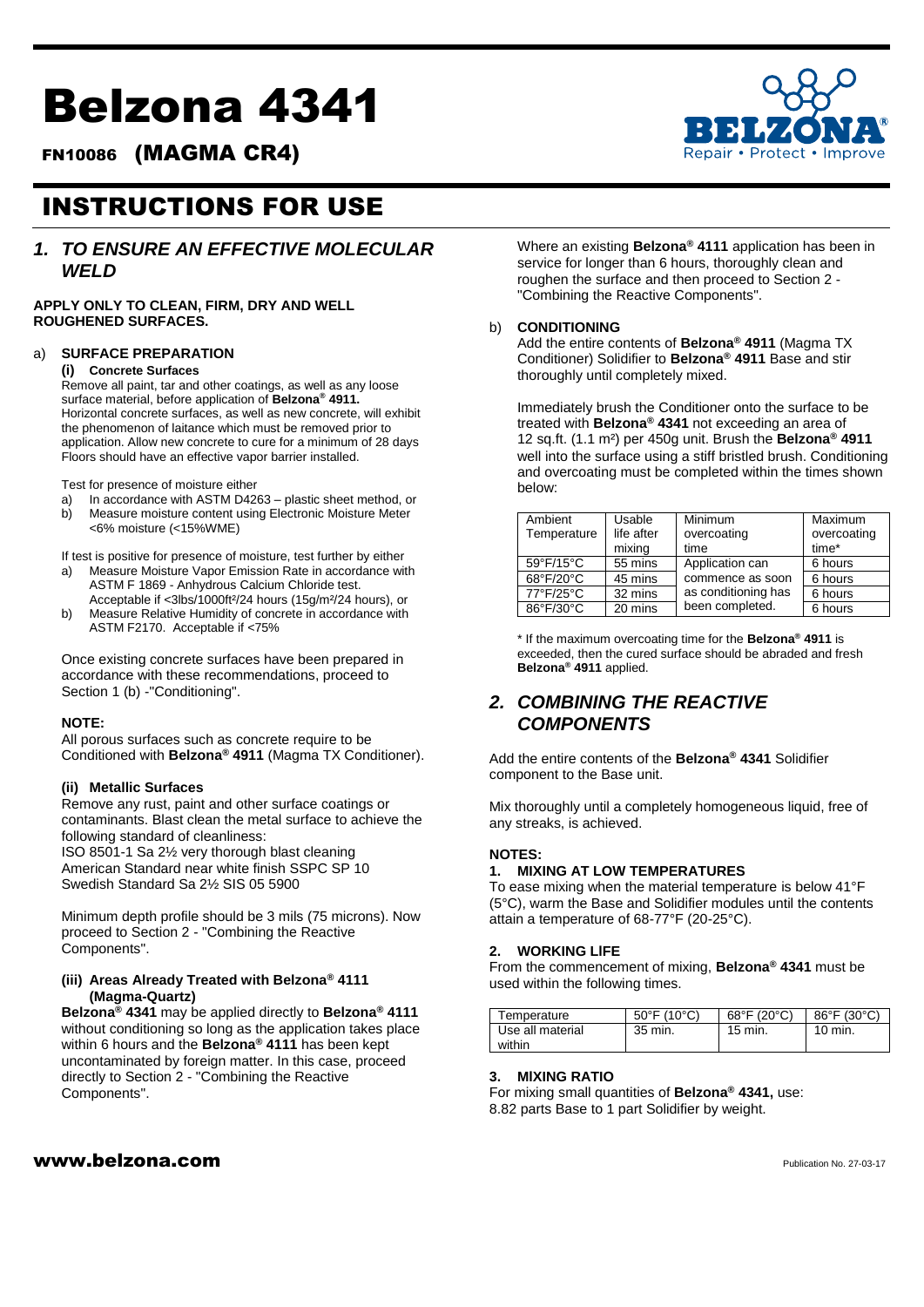# Belzona 4341

FN10086 (MAGMA CR4)

## INSTRUCTIONS FOR USE

### *1. TO ENSURE AN EFFECTIVE MOLECULAR WELD*

**APPLY ONLY TO CLEAN, FIRM, DRY AND WELL ROUGHENED SURFACES.**

#### a) **SURFACE PREPARATION**

#### **(i) Concrete Surfaces**

Remove all paint, tar and other coatings, as well as any loose surface material, before application of **Belzona® 4911.** Horizontal concrete surfaces, as well as new concrete, will exhibit the phenomenon of laitance which must be removed prior to application. Allow new concrete to cure for a minimum of 28 days Floors should have an effective vapor barrier installed.

Test for presence of moisture either

- a) In accordance with ASTM D4263 plastic sheet method, or
- b) Measure moisture content using Electronic Moisture Meter <6% moisture (<15%WME)

If test is positive for presence of moisture, test further by either

- a) Measure Moisture Vapor Emission Rate in accordance with ASTM F 1869 - Anhydrous Calcium Chloride test. Acceptable if <3lbs/1000ft²/24 hours (15g/m²/24 hours), or
- b) Measure Relative Humidity of concrete in accordance with ASTM F2170. Acceptable if <75%

Once existing concrete surfaces have been prepared in accordance with these recommendations, proceed to Section 1 (b) -"Conditioning".

#### **NOTE:**

All porous surfaces such as concrete require to be Conditioned with **Belzona® 4911** (Magma TX Conditioner).

#### **(ii) Metallic Surfaces**

Remove any rust, paint and other surface coatings or contaminants. Blast clean the metal surface to achieve the following standard of cleanliness:

ISO 8501-1 Sa 2½ very thorough blast cleaning American Standard near white finish SSPC SP 10 Swedish Standard Sa 2½ SIS 05 5900

Minimum depth profile should be 3 mils (75 microns). Now proceed to Section 2 - "Combining the Reactive Components".

#### **(iii) Areas Already Treated with Belzona® 4111 (Magma-Quartz)**

**Belzona® 4341** may be applied directly to **Belzona® 4111**  without conditioning so long as the application takes place within 6 hours and the **Belzona® 4111** has been kept uncontaminated by foreign matter. In this case, proceed directly to Section 2 - "Combining the Reactive Components".

Where an existing **Belzona® 4111** application has been in service for longer than 6 hours, thoroughly clean and roughen the surface and then proceed to Section 2 - "Combining the Reactive Components".

#### b) **CONDITIONING**

Add the entire contents of **Belzona® 4911** (Magma TX Conditioner) Solidifier to **Belzona® 4911** Base and stir thoroughly until completely mixed.

Immediately brush the Conditioner onto the surface to be treated with **Belzona® 4341** not exceeding an area of 12 sq.ft. (1.1 m²) per 450g unit. Brush the **Belzona® 4911**  well into the surface using a stiff bristled brush. Conditioning and overcoating must be completed within the times shown below:

| Ambient                          | Usable     | Minimum             | Maximum     |
|----------------------------------|------------|---------------------|-------------|
| Temperature                      | life after | overcoating         | overcoating |
|                                  | mixing     | time                | time*       |
| 59°F/15°C                        | 55 mins    | Application can     | 6 hours     |
| $68^{\circ}$ F/20 $\overline{C}$ | 45 mins    | commence as soon    | 6 hours     |
| 77°F/25°C                        | 32 mins    | as conditioning has | 6 hours     |
| 86°F/30°C                        | 20 mins    | been completed.     | 6 hours     |

\* If the maximum overcoating time for the **Belzona® 4911** is exceeded, then the cured surface should be abraded and fresh **Belzona® 4911** applied.

## *2. COMBINING THE REACTIVE COMPONENTS*

Add the entire contents of the **Belzona® 4341** Solidifier component to the Base unit.

Mix thoroughly until a completely homogeneous liquid, free of any streaks, is achieved.

#### **NOTES:**

#### **1. MIXING AT LOW TEMPERATURES**

To ease mixing when the material temperature is below 41°F (5°C), warm the Base and Solidifier modules until the contents attain a temperature of 68-77°F (20-25°C).

#### **2. WORKING LlFE**

From the commencement of mixing, **Belzona® 4341** must be used within the following times.

| Femperature      | $50^{\circ}$ F (10 $^{\circ}$ C) | $68^{\circ}$ F (20 $^{\circ}$ C) | $86^{\circ}$ F (30 $^{\circ}$ C) |
|------------------|----------------------------------|----------------------------------|----------------------------------|
| Use all material | 35 min.                          | 15 min.                          | 10 min.                          |
| within           |                                  |                                  |                                  |

#### **3. MlXING RATIO**

For mixing small quantities of **Belzona® 4341,** use: 8.82 parts Base to 1 part Solidifier by weight.

## $www.beIzona.com$